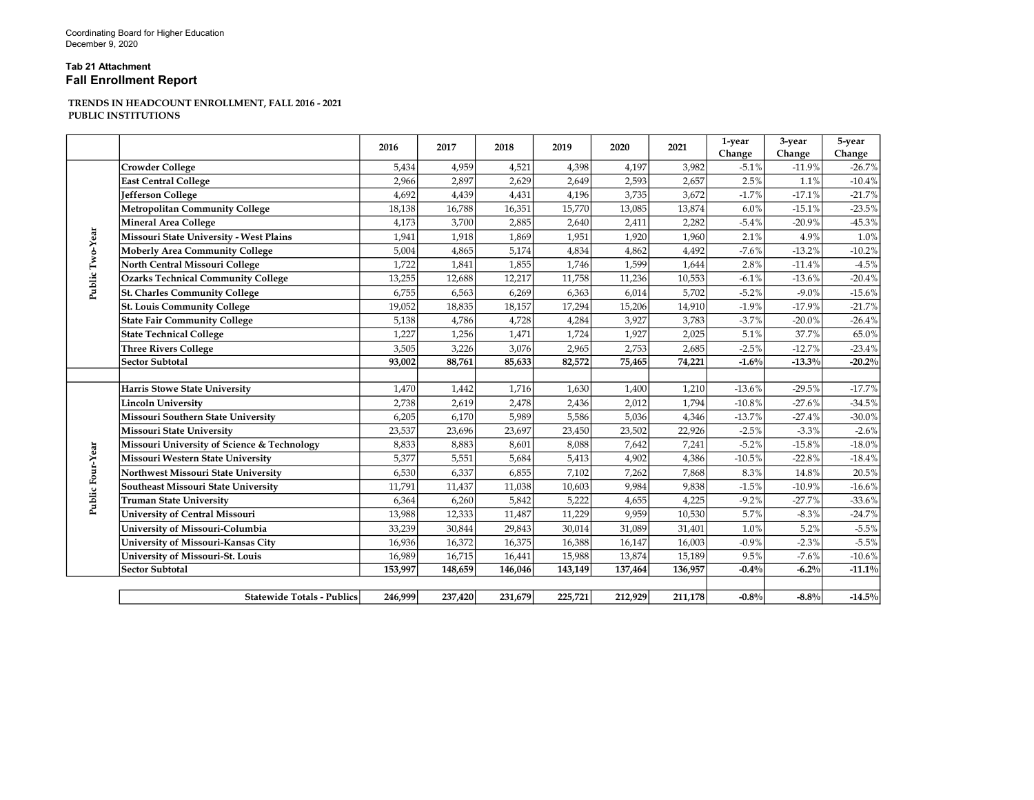## Tab 21 Attachment Fall Enrollment Report

## TRENDS IN HEADCOUNT ENROLLMENT, FALL 2016 - 2021 PUBLIC INSTITUTIONS

|                  |                                             | 2016    | 2017    | 2018    | 2019    | 2020    | 2021    | 1-year<br>Change | 3-year<br>Change | 5-year<br>Change |
|------------------|---------------------------------------------|---------|---------|---------|---------|---------|---------|------------------|------------------|------------------|
| Public Two-Year  | <b>Crowder College</b>                      | 5,434   | 4,959   | 4,521   | 4,398   | 4,197   | 3,982   | $-5.1%$          | $-11.9%$         | $-26.7%$         |
|                  | <b>East Central College</b>                 | 2,966   | 2,897   | 2,629   | 2,649   | 2,593   | 2,657   | 2.5%             | 1.1%             | $-10.4%$         |
|                  | Jefferson College                           | 4,692   | 4,439   | 4,431   | 4,196   | 3,735   | 3,672   | $-1.7%$          | $-17.1%$         | $-21.7%$         |
|                  | <b>Metropolitan Community College</b>       | 18,138  | 16,788  | 16,351  | 15,770  | 13,085  | 13,874  | 6.0%             | $-15.1%$         | $-23.5%$         |
|                  | <b>Mineral Area College</b>                 | 4,173   | 3,700   | 2,885   | 2,640   | 2,411   | 2,282   | $-5.4%$          | $-20.9%$         | $-45.3%$         |
|                  | Missouri State University - West Plains     | 1,941   | 1,918   | 1,869   | 1,951   | 1,920   | 1,960   | 2.1%             | 4.9%             | 1.0%             |
|                  | <b>Moberly Area Community College</b>       | 5,004   | 4,865   | 5,174   | 4,834   | 4,862   | 4,492   | $-7.6%$          | $-13.2%$         | $-10.2%$         |
|                  | North Central Missouri College              | 1,722   | 1,841   | 1,855   | 1,746   | 1,599   | 1,644   | 2.8%             | $-11.4%$         | $-4.5%$          |
|                  | <b>Ozarks Technical Community College</b>   | 13,255  | 12,688  | 12,217  | 11,758  | 11,236  | 10,553  | $-6.1%$          | $-13.6%$         | $-20.4%$         |
|                  | <b>St. Charles Community College</b>        | 6,755   | 6,563   | 6,269   | 6,363   | 6,014   | 5,702   | $-5.2%$          | $-9.0%$          | $-15.6%$         |
|                  | <b>St. Louis Community College</b>          | 19,052  | 18,835  | 18,157  | 17,294  | 15,206  | 14,910  | $-1.9%$          | $-17.9%$         | $-21.7%$         |
|                  | <b>State Fair Community College</b>         | 5,138   | 4,786   | 4,728   | 4,284   | 3,927   | 3,783   | $-3.7%$          | $-20.0%$         | $-26.4%$         |
|                  | <b>State Technical College</b>              | 1,227   | 1,256   | 1,471   | 1,724   | 1,927   | 2,025   | 5.1%             | 37.7%            | 65.0%            |
|                  | <b>Three Rivers College</b>                 | 3,505   | 3,226   | 3,076   | 2,965   | 2,753   | 2,685   | $-2.5%$          | $-12.7%$         | $-23.4%$         |
|                  | <b>Sector Subtotal</b>                      | 93,002  | 88,761  | 85,633  | 82,572  | 75,465  | 74,221  | $-1.6\%$         | $-13.3%$         | $-20.2%$         |
|                  |                                             |         |         |         |         |         |         |                  |                  |                  |
|                  | <b>Harris Stowe State University</b>        | 1,470   | 1,442   | 1,716   | 1,630   | 1,400   | 1,210   | $-13.6%$         | $-29.5%$         | $-17.7%$         |
|                  | <b>Lincoln University</b>                   | 2,738   | 2,619   | 2,478   | 2,436   | 2,012   | 1,794   | $-10.8%$         | $-27.6%$         | $-34.5%$         |
|                  | Missouri Southern State University          | 6,205   | 6,170   | 5,989   | 5,586   | 5,036   | 4,346   | $-13.7%$         | $-27.4%$         | $-30.0%$         |
|                  | <b>Missouri State University</b>            | 23,537  | 23,696  | 23,697  | 23,450  | 23,502  | 22,926  | $-2.5%$          | $-3.3%$          | $-2.6%$          |
| Public Four-Year | Missouri University of Science & Technology | 8,833   | 8,883   | 8,601   | 8,088   | 7,642   | 7,241   | $-5.2%$          | $-15.8%$         | $-18.0%$         |
|                  | Missouri Western State University           | 5,377   | 5,551   | 5,684   | 5,413   | 4,902   | 4,386   | $-10.5%$         | $-22.8%$         | $-18.4%$         |
|                  | Northwest Missouri State University         | 6,530   | 6,337   | 6,855   | 7,102   | 7,262   | 7,868   | 8.3%             | $14.8\%$         | 20.5%            |
|                  | Southeast Missouri State University         | 11,791  | 11,437  | 11,038  | 10,603  | 9,984   | 9,838   | $-1.5%$          | $-10.9%$         | $-16.6%$         |
|                  | <b>Truman State University</b>              | 6,364   | 6,260   | 5,842   | 5,222   | 4,655   | 4,225   | $-9.2%$          | $-27.7%$         | $-33.6%$         |
|                  | <b>University of Central Missouri</b>       | 13,988  | 12,333  | 11,487  | 11,229  | 9,959   | 10,530  | 5.7%             | $-8.3%$          | $-24.7%$         |
|                  | University of Missouri-Columbia             | 33,239  | 30,844  | 29,843  | 30,014  | 31,089  | 31,401  | 1.0%             | 5.2%             | $-5.5%$          |
|                  | University of Missouri-Kansas City          | 16,936  | 16,372  | 16,375  | 16,388  | 16,147  | 16,003  | $-0.9%$          | $-2.3%$          | $-5.5%$          |
|                  | University of Missouri-St. Louis            | 16,989  | 16,715  | 16,441  | 15,988  | 13,874  | 15,189  | 9.5%             | $-7.6%$          | $-10.6%$         |
|                  | <b>Sector Subtotal</b>                      | 153,997 | 148,659 | 146,046 | 143,149 | 137,464 | 136,957 | $-0.4%$          | $-6.2%$          | $-11.1\%$        |
|                  |                                             |         |         |         |         |         |         |                  |                  |                  |
|                  | <b>Statewide Totals - Publics</b>           | 246,999 | 237,420 | 231,679 | 225,721 | 212,929 | 211,178 | $-0.8%$          | $-8.8%$          | $-14.5%$         |